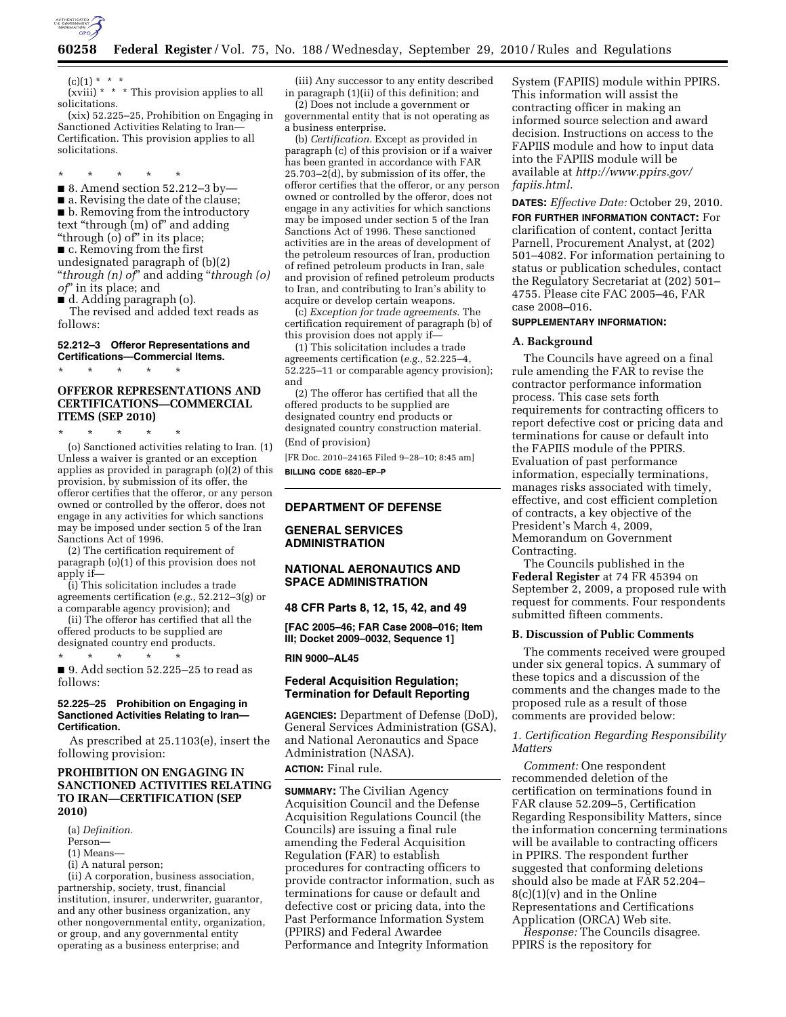

 $(c)(1) * * * *$ 

(xviii)  $* * *$  This provision applies to all solicitations. (xix) 52.225–25, Prohibition on Engaging in

Sanctioned Activities Relating to Iran— Certification. This provision applies to all solicitations.

\* \* \* \* \*

■ 8. Amend section 52.212–3 by— ■ a. Revising the date of the clause; ■ b. Removing from the introductory text "through (m) of" and adding ''through (o) of'' in its place; ■ c. Removing from the first

undesignated paragraph of (b)(2) ''*through (n) of*'' and adding ''*through (o) of*'' in its place; and

■ d. Adding paragraph (o).

The revised and added text reads as follows:

#### **52.212–3 Offeror Representations and Certifications—Commercial Items.**

\* \* \* \* \*

# **OFFEROR REPRESENTATIONS AND CERTIFICATIONS—COMMERCIAL ITEMS (SEP 2010)**

\* \* \* \* \*

(o) Sanctioned activities relating to Iran. (1) Unless a waiver is granted or an exception applies as provided in paragraph  $(o)(\overline{2})$  of this provision, by submission of its offer, the offeror certifies that the offeror, or any person owned or controlled by the offeror, does not engage in any activities for which sanctions may be imposed under section 5 of the Iran Sanctions Act of 1996.

(2) The certification requirement of paragraph (o)(1) of this provision does not apply if—

(i) This solicitation includes a trade agreements certification (*e.g.,* 52.212–3(g) or a comparable agency provision); and

(ii) The offeror has certified that all the offered products to be supplied are

designated country end products.

\* \* \* \* \* ■ 9. Add section 52.225–25 to read as

# follows:

## **52.225–25 Prohibition on Engaging in Sanctioned Activities Relating to Iran— Certification.**

As prescribed at 25.1103(e), insert the following provision:

## **PROHIBITION ON ENGAGING IN SANCTIONED ACTIVITIES RELATING TO IRAN—CERTIFICATION (SEP 2010)**

(a) *Definition.* 

- Person—
- (1) Means—
- (i) A natural person;

(ii) A corporation, business association, partnership, society, trust, financial institution, insurer, underwriter, guarantor, and any other business organization, any other nongovernmental entity, organization, or group, and any governmental entity operating as a business enterprise; and

(iii) Any successor to any entity described in paragraph (1)(ii) of this definition; and

(2) Does not include a government or governmental entity that is not operating as a business enterprise.

(b) *Certification.* Except as provided in paragraph (c) of this provision or if a waiver has been granted in accordance with FAR 25.703–2(d), by submission of its offer, the offeror certifies that the offeror, or any person owned or controlled by the offeror, does not engage in any activities for which sanctions may be imposed under section 5 of the Iran Sanctions Act of 1996. These sanctioned activities are in the areas of development of the petroleum resources of Iran, production of refined petroleum products in Iran, sale and provision of refined petroleum products to Iran, and contributing to Iran's ability to acquire or develop certain weapons.

(c) *Exception for trade agreements.* The certification requirement of paragraph (b) of this provision does not apply if—

(1) This solicitation includes a trade agreements certification (*e.g.,* 52.225–4, 52.225–11 or comparable agency provision); and

(2) The offeror has certified that all the offered products to be supplied are designated country end products or designated country construction material. (End of provision)

[FR Doc. 2010–24165 Filed 9–28–10; 8:45 am] **BILLING CODE 6820–EP–P** 

## **DEPARTMENT OF DEFENSE**

## **GENERAL SERVICES ADMINISTRATION**

## **NATIONAL AERONAUTICS AND SPACE ADMINISTRATION**

**48 CFR Parts 8, 12, 15, 42, and 49** 

**[FAC 2005–46; FAR Case 2008–016; Item III; Docket 2009–0032, Sequence 1]** 

#### **RIN 9000–AL45**

## **Federal Acquisition Regulation; Termination for Default Reporting**

**AGENCIES:** Department of Defense (DoD), General Services Administration (GSA), and National Aeronautics and Space Administration (NASA). **ACTION:** Final rule.

**SUMMARY:** The Civilian Agency Acquisition Council and the Defense Acquisition Regulations Council (the Councils) are issuing a final rule amending the Federal Acquisition Regulation (FAR) to establish procedures for contracting officers to provide contractor information, such as terminations for cause or default and defective cost or pricing data, into the Past Performance Information System (PPIRS) and Federal Awardee Performance and Integrity Information

System (FAPIIS) module within PPIRS. This information will assist the contracting officer in making an informed source selection and award decision. Instructions on access to the FAPIIS module and how to input data into the FAPIIS module will be available at *[http://www.ppirs.gov/](http://www.ppirs.gov/fapiis.html) [fapiis.html.](http://www.ppirs.gov/fapiis.html)* 

## **DATES:** *Effective Date:* October 29, 2010.

**FOR FURTHER INFORMATION CONTACT:** For clarification of content, contact Jeritta Parnell, Procurement Analyst, at (202) 501–4082. For information pertaining to status or publication schedules, contact the Regulatory Secretariat at (202) 501– 4755. Please cite FAC 2005–46, FAR case 2008–016.

## **SUPPLEMENTARY INFORMATION:**

## **A. Background**

The Councils have agreed on a final rule amending the FAR to revise the contractor performance information process. This case sets forth requirements for contracting officers to report defective cost or pricing data and terminations for cause or default into the FAPIIS module of the PPIRS. Evaluation of past performance information, especially terminations, manages risks associated with timely, effective, and cost efficient completion of contracts, a key objective of the President's March 4, 2009, Memorandum on Government Contracting.

The Councils published in the **Federal Register** at 74 FR 45394 on September 2, 2009, a proposed rule with request for comments. Four respondents submitted fifteen comments.

## **B. Discussion of Public Comments**

The comments received were grouped under six general topics. A summary of these topics and a discussion of the comments and the changes made to the proposed rule as a result of those comments are provided below:

# *1. Certification Regarding Responsibility Matters*

*Comment:* One respondent recommended deletion of the certification on terminations found in FAR clause 52.209–5, Certification Regarding Responsibility Matters, since the information concerning terminations will be available to contracting officers in PPIRS. The respondent further suggested that conforming deletions should also be made at FAR 52.204–  $8(c)(1)(v)$  and in the Online Representations and Certifications Application (ORCA) Web site.

*Response:* The Councils disagree. PPIRS is the repository for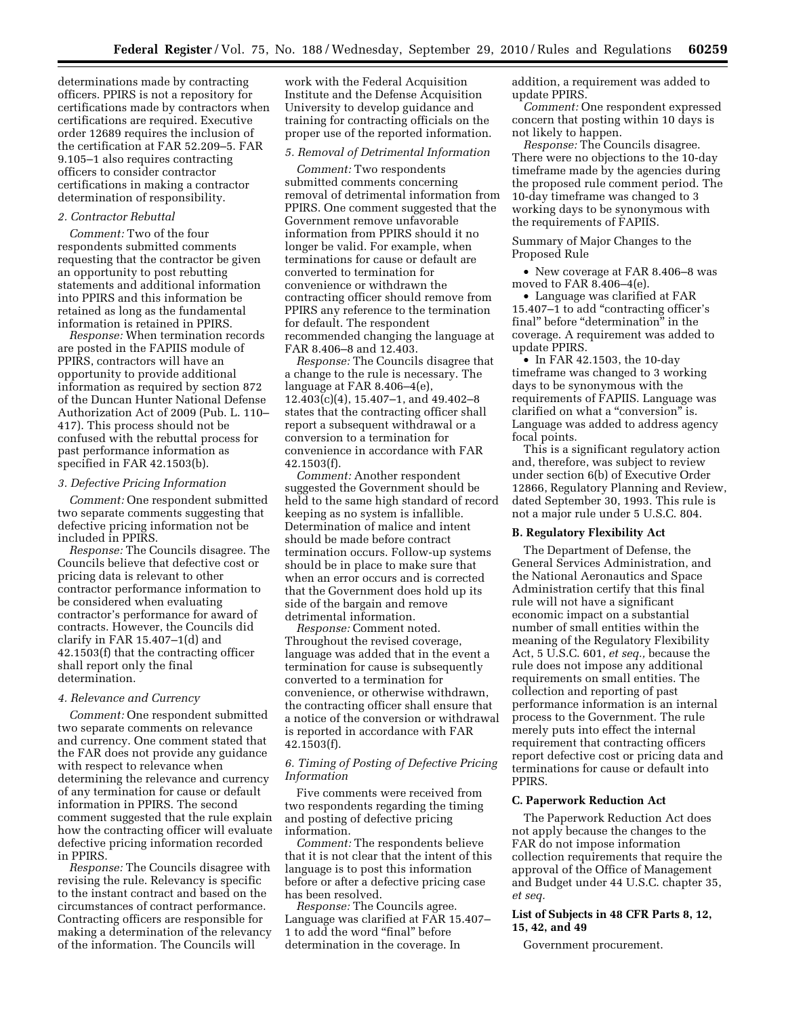determinations made by contracting officers. PPIRS is not a repository for certifications made by contractors when certifications are required. Executive order 12689 requires the inclusion of the certification at FAR 52.209–5. FAR 9.105–1 also requires contracting officers to consider contractor certifications in making a contractor determination of responsibility.

## *2. Contractor Rebuttal*

*Comment:* Two of the four respondents submitted comments requesting that the contractor be given an opportunity to post rebutting statements and additional information into PPIRS and this information be retained as long as the fundamental information is retained in PPIRS.

*Response:* When termination records are posted in the FAPIIS module of PPIRS, contractors will have an opportunity to provide additional information as required by section 872 of the Duncan Hunter National Defense Authorization Act of 2009 (Pub. L. 110– 417). This process should not be confused with the rebuttal process for past performance information as specified in FAR 42.1503(b).

#### *3. Defective Pricing Information*

*Comment:* One respondent submitted two separate comments suggesting that defective pricing information not be included in PPIRS.

*Response:* The Councils disagree. The Councils believe that defective cost or pricing data is relevant to other contractor performance information to be considered when evaluating contractor's performance for award of contracts. However, the Councils did clarify in FAR 15.407–1(d) and 42.1503(f) that the contracting officer shall report only the final determination.

#### *4. Relevance and Currency*

*Comment:* One respondent submitted two separate comments on relevance and currency. One comment stated that the FAR does not provide any guidance with respect to relevance when determining the relevance and currency of any termination for cause or default information in PPIRS. The second comment suggested that the rule explain how the contracting officer will evaluate defective pricing information recorded in PPIRS.

*Response:* The Councils disagree with revising the rule. Relevancy is specific to the instant contract and based on the circumstances of contract performance. Contracting officers are responsible for making a determination of the relevancy of the information. The Councils will

work with the Federal Acquisition Institute and the Defense Acquisition University to develop guidance and training for contracting officials on the proper use of the reported information.

## *5. Removal of Detrimental Information*

*Comment:* Two respondents submitted comments concerning removal of detrimental information from PPIRS. One comment suggested that the Government remove unfavorable information from PPIRS should it no longer be valid. For example, when terminations for cause or default are converted to termination for convenience or withdrawn the contracting officer should remove from PPIRS any reference to the termination for default. The respondent recommended changing the language at FAR 8.406–8 and 12.403.

*Response:* The Councils disagree that a change to the rule is necessary. The language at FAR 8.406–4(e), 12.403(c)(4), 15.407–1, and 49.402–8 states that the contracting officer shall report a subsequent withdrawal or a conversion to a termination for convenience in accordance with FAR 42.1503(f).

*Comment:* Another respondent suggested the Government should be held to the same high standard of record keeping as no system is infallible. Determination of malice and intent should be made before contract termination occurs. Follow-up systems should be in place to make sure that when an error occurs and is corrected that the Government does hold up its side of the bargain and remove detrimental information.

*Response:* Comment noted. Throughout the revised coverage, language was added that in the event a termination for cause is subsequently converted to a termination for convenience, or otherwise withdrawn, the contracting officer shall ensure that a notice of the conversion or withdrawal is reported in accordance with FAR 42.1503(f).

## *6. Timing of Posting of Defective Pricing Information*

Five comments were received from two respondents regarding the timing and posting of defective pricing information.

*Comment:* The respondents believe that it is not clear that the intent of this language is to post this information before or after a defective pricing case has been resolved.

*Response:* The Councils agree. Language was clarified at FAR 15.407– 1 to add the word "final" before determination in the coverage. In

addition, a requirement was added to update PPIRS.

*Comment:* One respondent expressed concern that posting within 10 days is not likely to happen.

*Response:* The Councils disagree. There were no objections to the 10-day timeframe made by the agencies during the proposed rule comment period. The 10-day timeframe was changed to 3 working days to be synonymous with the requirements of FAPIIS.

Summary of Major Changes to the Proposed Rule

• New coverage at FAR 8.406–8 was moved to FAR 8.406–4(e).

• Language was clarified at FAR 15.407–1 to add ''contracting officer's final" before "determination" in the coverage. A requirement was added to update PPIRS.

• In FAR 42.1503, the 10-day timeframe was changed to 3 working days to be synonymous with the requirements of FAPIIS. Language was clarified on what a "conversion" is. Language was added to address agency focal points.

This is a significant regulatory action and, therefore, was subject to review under section 6(b) of Executive Order 12866, Regulatory Planning and Review, dated September 30, 1993. This rule is not a major rule under 5 U.S.C. 804.

## **B. Regulatory Flexibility Act**

The Department of Defense, the General Services Administration, and the National Aeronautics and Space Administration certify that this final rule will not have a significant economic impact on a substantial number of small entities within the meaning of the Regulatory Flexibility Act, 5 U.S.C. 601, *et seq.,* because the rule does not impose any additional requirements on small entities. The collection and reporting of past performance information is an internal process to the Government. The rule merely puts into effect the internal requirement that contracting officers report defective cost or pricing data and terminations for cause or default into PPIRS.

#### **C. Paperwork Reduction Act**

The Paperwork Reduction Act does not apply because the changes to the FAR do not impose information collection requirements that require the approval of the Office of Management and Budget under 44 U.S.C. chapter 35, *et seq.* 

## **List of Subjects in 48 CFR Parts 8, 12, 15, 42, and 49**

Government procurement.